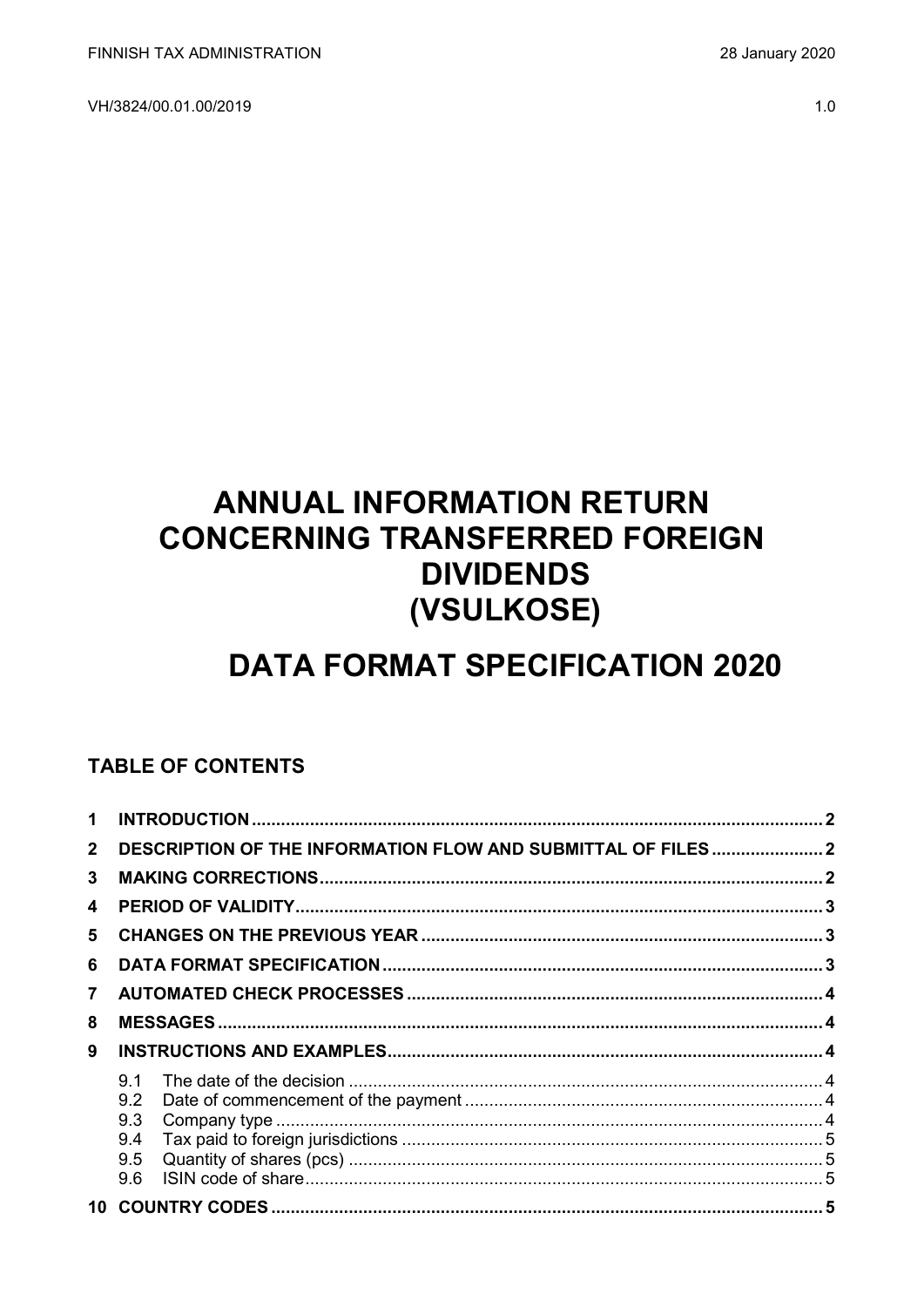VH/3824/00.01.00/2019

# **ANNUAL INFORMATION RETURN CONCERNING TRANSFERRED FOREIGN DIVIDENDS** (VSULKOSE)

# **DATA FORMAT SPECIFICATION 2020**

## **TABLE OF CONTENTS**

| 1            |                                                               |  |
|--------------|---------------------------------------------------------------|--|
| $\mathbf{2}$ | DESCRIPTION OF THE INFORMATION FLOW AND SUBMITTAL OF FILES  2 |  |
| 3            |                                                               |  |
| 4            |                                                               |  |
| 5            |                                                               |  |
| 6            |                                                               |  |
| 7            |                                                               |  |
| 8            |                                                               |  |
| 9            |                                                               |  |
|              | 9.1                                                           |  |
|              | 9.2                                                           |  |
|              | 9.3                                                           |  |
|              | 9.4                                                           |  |
|              | 9.5                                                           |  |
|              | 9.6                                                           |  |
|              |                                                               |  |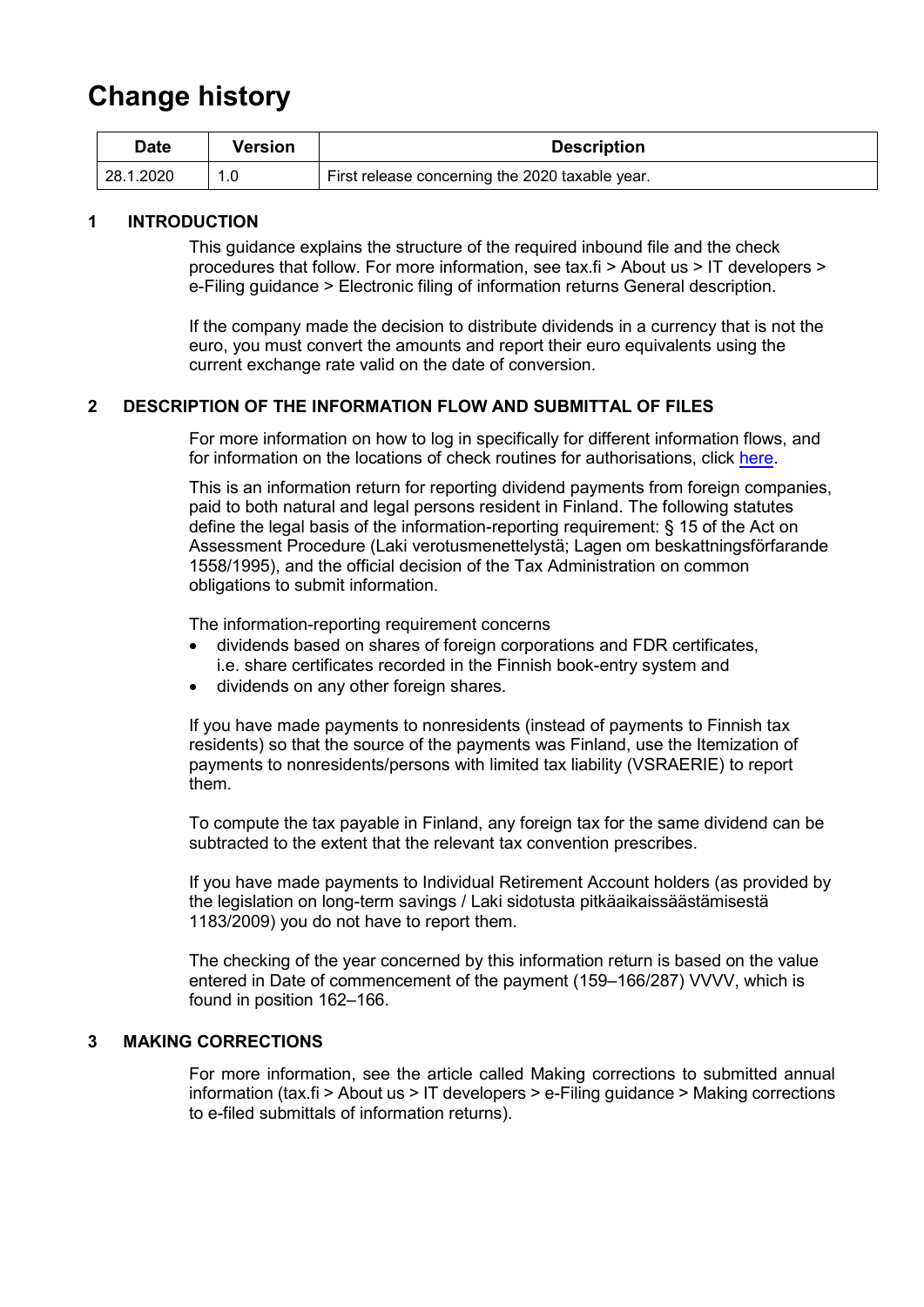## **Change history**

| Date      | Version | <b>Description</b>                              |
|-----------|---------|-------------------------------------------------|
| 28.1.2020 |         | First release concerning the 2020 taxable year. |

#### <span id="page-1-0"></span>**1 INTRODUCTION**

This guidance explains the structure of the required inbound file and the check procedures that follow. For more information, see tax.fi > About us > IT developers > e-Filing guidance > Electronic filing of information returns General description.

If the company made the decision to distribute dividends in a currency that is not the euro, you must convert the amounts and report their euro equivalents using the current exchange rate valid on the date of conversion.

#### <span id="page-1-1"></span>**2 DESCRIPTION OF THE INFORMATION FLOW AND SUBMITTAL OF FILES**

For more information on how to log in specifically for different information flows, and for information on the locations of check routines for authorisations, click [here.](https://www.ilmoitin.fi/webtamo/sivut/IlmoituslajiRoolit?kieli=en&tv=VSULKOSE)

This is an information return for reporting dividend payments from foreign companies, paid to both natural and legal persons resident in Finland. The following statutes define the legal basis of the information-reporting requirement: § 15 of the Act on Assessment Procedure (Laki verotusmenettelystä; Lagen om beskattningsförfarande 1558/1995), and the official decision of the Tax Administration on common obligations to submit information.

The information-reporting requirement concerns

- dividends based on shares of foreign corporations and FDR certificates, i.e. share certificates recorded in the Finnish book-entry system and
- dividends on any other foreign shares.

If you have made payments to nonresidents (instead of payments to Finnish tax residents) so that the source of the payments was Finland, use the Itemization of payments to nonresidents/persons with limited tax liability (VSRAERIE) to report them.

To compute the tax payable in Finland, any foreign tax for the same dividend can be subtracted to the extent that the relevant tax convention prescribes.

If you have made payments to Individual Retirement Account holders (as provided by the legislation on long-term savings / Laki sidotusta pitkäaikaissäästämisestä 1183/2009) you do not have to report them.

The checking of the year concerned by this information return is based on the value entered in Date of commencement of the payment (159–166/287) VVVV, which is found in position 162–166.

#### <span id="page-1-2"></span>**3 MAKING CORRECTIONS**

For more information, see the article called Making corrections to submitted annual information (tax.fi > About us > IT developers > e-Filing guidance > Making corrections to e-filed submittals of information returns).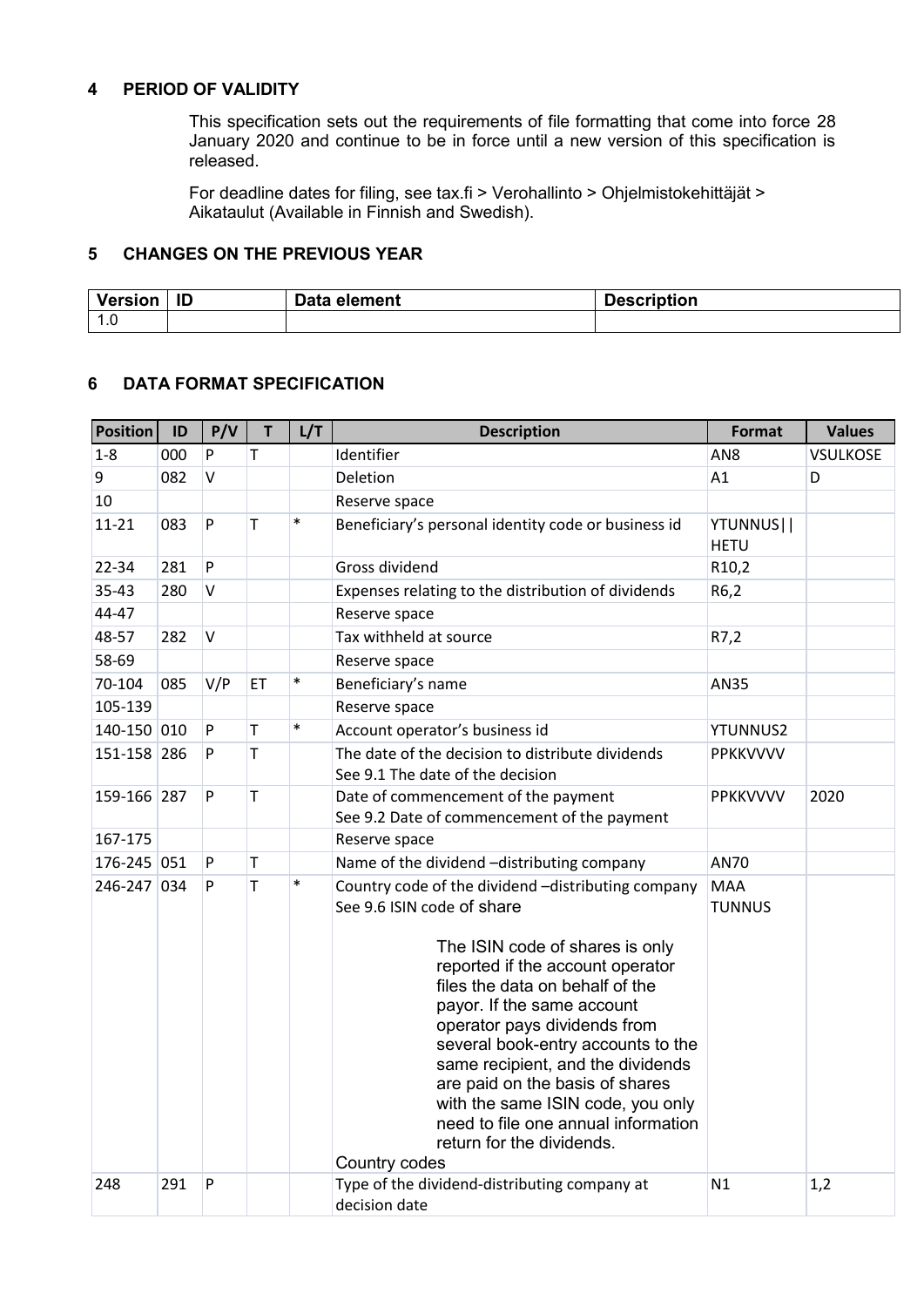#### <span id="page-2-0"></span>**4 PERIOD OF VALIDITY**

This specification sets out the requirements of file formatting that come into force 28 January 2020 and continue to be in force until a new version of this specification is released.

For deadline dates for filing, see tax.fi > Verohallinto > Ohjelmistokehittäjät > Aikataulut (Available in Finnish and Swedish).

### <span id="page-2-1"></span>**5 CHANGES ON THE PREVIOUS YEAR**

| Version                | ID | Data element | Description |
|------------------------|----|--------------|-------------|
| $\overline{A}$<br>1. U |    |              |             |

### <span id="page-2-2"></span>**6 DATA FORMAT SPECIFICATION**

| <b>Position</b> | ID  | P/V    | $\mathsf T$  | L/T    | <b>Description</b>                                                                                                                                                                                                                                                                                                                                                                                                                                                                               | <b>Format</b>               | <b>Values</b>   |
|-----------------|-----|--------|--------------|--------|--------------------------------------------------------------------------------------------------------------------------------------------------------------------------------------------------------------------------------------------------------------------------------------------------------------------------------------------------------------------------------------------------------------------------------------------------------------------------------------------------|-----------------------------|-----------------|
| $1 - 8$         | 000 | P      | T            |        | Identifier                                                                                                                                                                                                                                                                                                                                                                                                                                                                                       | AN <sub>8</sub>             | <b>VSULKOSE</b> |
| 9               | 082 | $\vee$ |              |        | Deletion                                                                                                                                                                                                                                                                                                                                                                                                                                                                                         | A1                          | D               |
| 10              |     |        |              |        | Reserve space                                                                                                                                                                                                                                                                                                                                                                                                                                                                                    |                             |                 |
| $11 - 21$       | 083 | P      | T            | $\ast$ | Beneficiary's personal identity code or business id                                                                                                                                                                                                                                                                                                                                                                                                                                              | YTUNNUS  <br><b>HETU</b>    |                 |
| 22-34           | 281 | P      |              |        | Gross dividend                                                                                                                                                                                                                                                                                                                                                                                                                                                                                   | R10,2                       |                 |
| $35 - 43$       | 280 | v      |              |        | Expenses relating to the distribution of dividends                                                                                                                                                                                                                                                                                                                                                                                                                                               | R6,2                        |                 |
| 44-47           |     |        |              |        | Reserve space                                                                                                                                                                                                                                                                                                                                                                                                                                                                                    |                             |                 |
| 48-57           | 282 | V      |              |        | Tax withheld at source                                                                                                                                                                                                                                                                                                                                                                                                                                                                           | R7,2                        |                 |
| 58-69           |     |        |              |        | Reserve space                                                                                                                                                                                                                                                                                                                                                                                                                                                                                    |                             |                 |
| 70-104          | 085 | V/P    | ET           | $\ast$ | Beneficiary's name                                                                                                                                                                                                                                                                                                                                                                                                                                                                               | AN35                        |                 |
| 105-139         |     |        |              |        | Reserve space                                                                                                                                                                                                                                                                                                                                                                                                                                                                                    |                             |                 |
| 140-150 010     |     | P      | T            | $\ast$ | Account operator's business id                                                                                                                                                                                                                                                                                                                                                                                                                                                                   | <b>YTUNNUS2</b>             |                 |
| 151-158 286     |     | P      | T            |        | The date of the decision to distribute dividends<br>See 9.1 The date of the decision                                                                                                                                                                                                                                                                                                                                                                                                             | PPKKVVVV                    |                 |
| 159-166 287     |     | P      | $\mathsf{T}$ |        | Date of commencement of the payment<br>See 9.2 Date of commencement of the payment                                                                                                                                                                                                                                                                                                                                                                                                               | PPKKVVVV                    | 2020            |
| 167-175         |     |        |              |        | Reserve space                                                                                                                                                                                                                                                                                                                                                                                                                                                                                    |                             |                 |
| 176-245 051     |     | P      | $\mathsf T$  |        | Name of the dividend -distributing company                                                                                                                                                                                                                                                                                                                                                                                                                                                       | <b>AN70</b>                 |                 |
| 246-247 034     |     | P      | T            | $\ast$ | Country code of the dividend -distributing company<br>See 9.6 ISIN code of share<br>The ISIN code of shares is only<br>reported if the account operator<br>files the data on behalf of the<br>payor. If the same account<br>operator pays dividends from<br>several book-entry accounts to the<br>same recipient, and the dividends<br>are paid on the basis of shares<br>with the same ISIN code, you only<br>need to file one annual information<br>return for the dividends.<br>Country codes | <b>MAA</b><br><b>TUNNUS</b> |                 |
| 248             | 291 | P      |              |        | Type of the dividend-distributing company at<br>decision date                                                                                                                                                                                                                                                                                                                                                                                                                                    | N1                          | 1,2             |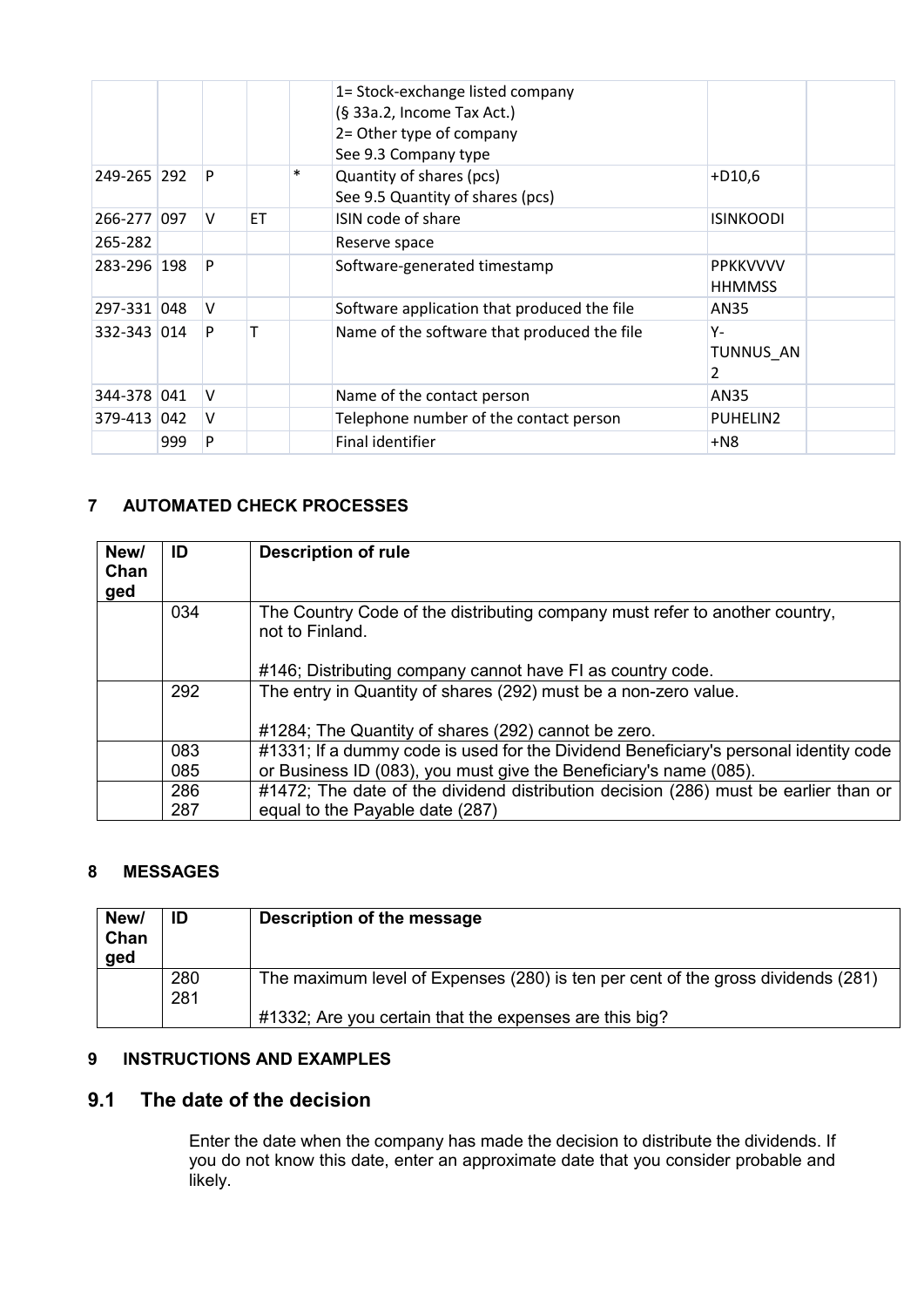|             |     |   |           |        | 1= Stock-exchange listed company<br>(§ 33a.2, Income Tax Act.)<br>2= Other type of company<br>See 9.3 Company type |                                  |  |
|-------------|-----|---|-----------|--------|--------------------------------------------------------------------------------------------------------------------|----------------------------------|--|
| 249-265 292 |     | P |           | $\ast$ | Quantity of shares (pcs)<br>See 9.5 Quantity of shares (pcs)                                                       | $+D10,6$                         |  |
| 266-277 097 |     | V | <b>ET</b> |        | ISIN code of share                                                                                                 | <b>ISINKOODI</b>                 |  |
| 265-282     |     |   |           |        | Reserve space                                                                                                      |                                  |  |
| 283-296 198 |     | P |           |        | Software-generated timestamp                                                                                       | <b>PPKKVVVV</b><br><b>HHMMSS</b> |  |
| 297-331 048 |     | v |           |        | Software application that produced the file                                                                        | AN35                             |  |
| 332-343 014 |     | P | т         |        | Name of the software that produced the file                                                                        | Υ-<br>TUNNUS AN<br>2             |  |
| 344-378 041 |     | v |           |        | Name of the contact person                                                                                         | AN35                             |  |
| 379-413 042 |     | v |           |        | Telephone number of the contact person                                                                             | PUHELIN2                         |  |
|             | 999 | P |           |        | Final identifier                                                                                                   | $+N8$                            |  |

## <span id="page-3-0"></span>**7 AUTOMATED CHECK PROCESSES**

| New/<br>Chan<br>ged | ID  | <b>Description of rule</b>                                                                                             |
|---------------------|-----|------------------------------------------------------------------------------------------------------------------------|
|                     | 034 | The Country Code of the distributing company must refer to another country,<br>not to Finland.                         |
|                     |     | #146; Distributing company cannot have FI as country code.                                                             |
|                     | 292 | The entry in Quantity of shares (292) must be a non-zero value.<br>#1284; The Quantity of shares (292) cannot be zero. |
|                     | 083 | #1331; If a dummy code is used for the Dividend Beneficiary's personal identity code                                   |
|                     | 085 | or Business ID (083), you must give the Beneficiary's name (085).                                                      |
|                     | 286 | #1472; The date of the dividend distribution decision (286) must be earlier than or                                    |
|                     | 287 | equal to the Payable date (287)                                                                                        |

## <span id="page-3-1"></span>**8 MESSAGES**

| New/<br>Chan<br>ged | ID         | Description of the message                                                       |
|---------------------|------------|----------------------------------------------------------------------------------|
|                     | 280<br>281 | The maximum level of Expenses (280) is ten per cent of the gross dividends (281) |
|                     |            | #1332; Are you certain that the expenses are this big?                           |

#### <span id="page-3-2"></span>**9 INSTRUCTIONS AND EXAMPLES**

## <span id="page-3-3"></span>**9.1 The date of the decision**

Enter the date when the company has made the decision to distribute the dividends. If you do not know this date, enter an approximate date that you consider probable and likely.